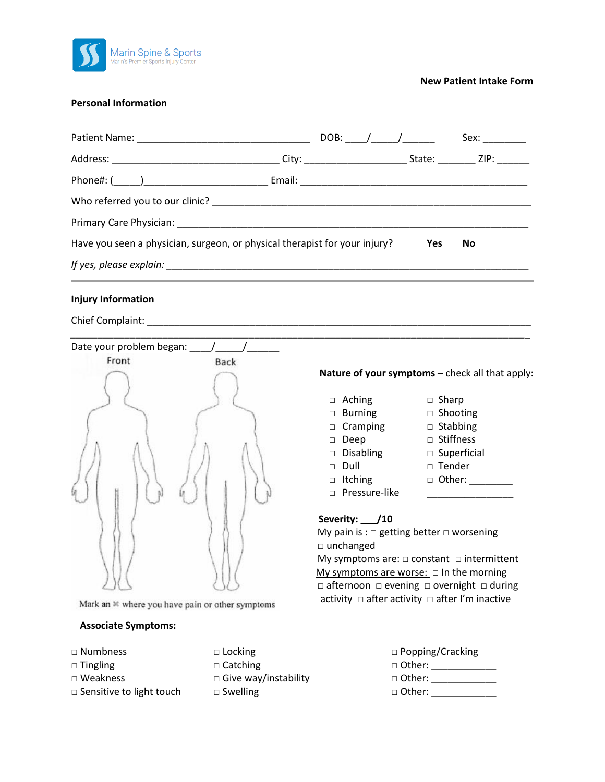

**New Patient Intake Form**

### **Personal Information**

|                                                                            |  | DOB: $/$ / |            | Sex: |  |
|----------------------------------------------------------------------------|--|------------|------------|------|--|
|                                                                            |  |            |            |      |  |
|                                                                            |  |            |            |      |  |
|                                                                            |  |            |            |      |  |
|                                                                            |  |            |            |      |  |
| Have you seen a physician, surgeon, or physical therapist for your injury? |  |            | <b>Yes</b> | No   |  |
|                                                                            |  |            |            |      |  |
| <b>Injury Information</b>                                                  |  |            |            |      |  |

Chief Complaint: \_\_\_\_\_\_\_\_\_\_\_\_\_\_\_\_\_\_\_\_\_\_\_\_\_\_\_\_\_\_\_\_\_\_\_\_\_\_\_\_\_\_\_\_\_\_\_\_\_\_\_\_\_\_\_\_\_\_\_\_\_\_\_\_\_\_\_\_\_\_\_



Mark an  $*$  where you have pain or other symptoms

#### **Associate Symptoms:**

- 
- 
- 
- □ Sensitive to light touch □ Swelling
- □ Tingling □ □ Catching □ Weakness Give way/instability

#### **Nature of your symptoms** – check all that apply:

- □ Aching □ Sharp
- □ Burning □ Shooting
- □ Cramping □ Stabbing
- □ Deep □ Stiffness
- □ Disabling □ Superficial
- □ Dull □ Tender
- 
- □ Itching □ Other: \_\_\_\_\_\_\_
- $\Box$  Pressure-like  $\Box$

## **Severity: \_\_\_/10**

My pain is :  $\square$  getting better  $\square$  worsening □ unchanged

My symptoms are: □ constant □ intermittent My symptoms are worse:  $\Box$  In the morning □ afternoon □ evening □ overnight □ during activity □ after activity □ after I'm inactive

| $\Box$ Numbness                 | $\Box$ Locking              | $\Box$ Popping/Cracking |
|---------------------------------|-----------------------------|-------------------------|
| $\Box$ Tingling                 | $\Box$ Catching             | □ Other:                |
| $\Box$ Weakness                 | $\Box$ Give way/instability | □ Other:                |
| $\Box$ Sensitive to light touch | $\Box$ Swelling             | $\Box$ Other:           |